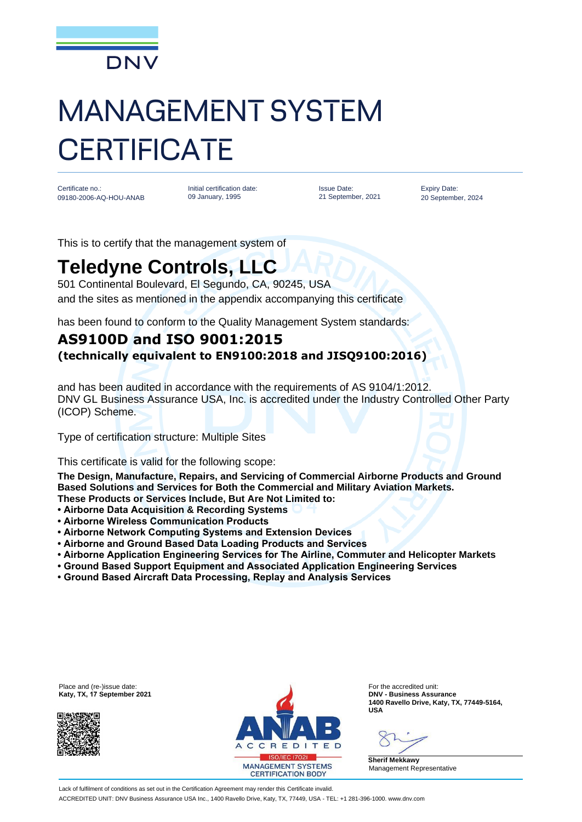

## MANAGEMENT SYSTEM **CERTIFICATE**

Certificate no.: 09180-2006-AQ-HOU-ANAB Initial certification date: 09 January, 1995

Issue Date: 21 September, 2021 Expiry Date: 20 September, 2024

This is to certify that the management system of

## **Teledyne Controls, LLC**

501 Continental Boulevard, El Segundo, CA, 90245, USA and the sites as mentioned in the appendix accompanying this certificate

has been found to conform to the Quality Management System standards:

## **AS9100D and ISO 9001:2015 (technically equivalent to EN9100:2018 and JISQ9100:2016)**

and has been audited in accordance with the requirements of AS 9104/1:2012. DNV GL Business Assurance USA, Inc. is accredited under the Industry Controlled Other Party (ICOP) Scheme.

Type of certification structure: Multiple Sites

This certificate is valid for the following scope:

**The Design, Manufacture, Repairs, and Servicing of Commercial Airborne Products and Ground Based Solutions and Services for Both the Commercial and Military Aviation Markets.** 

- **These Products or Services Include, But Are Not Limited to:**
- **Airborne Data Acquisition & Recording Systems**
- **Airborne Wireless Communication Products**
- **Airborne Network Computing Systems and Extension Devices**
- **Airborne and Ground Based Data Loading Products and Services**
- **Airborne Application Engineering Services for The Airline, Commuter and Helicopter Markets**
- **Ground Based Support Equipment and Associated Application Engineering Services**
- **Ground Based Aircraft Data Processing, Replay and Analysis Services**

**Katy, TX, 17 September 2021** 





**1400 Ravello Drive, Katy, TX, 77449-5164, USA**

**Sherif Mekkawy** Management Representative

Lack of fulfilment of conditions as set out in the Certification Agreement may render this Certificate invalid. ACCREDITED UNIT: DNV Business Assurance USA Inc., 1400 Ravello Drive, Katy, TX, 77449, USA - TEL: +1 281-396-1000. www.dnv.com